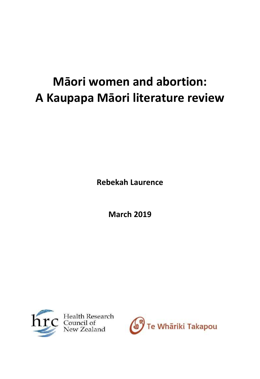# **Māori women and abortion: A Kaupapa Māori literature review**

**Rebekah Laurence**

**March 2019**



Health Research New Zealand

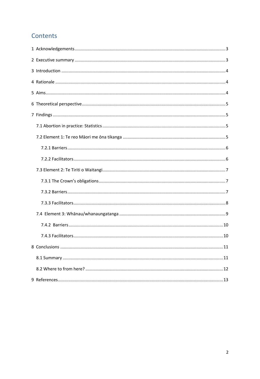# Contents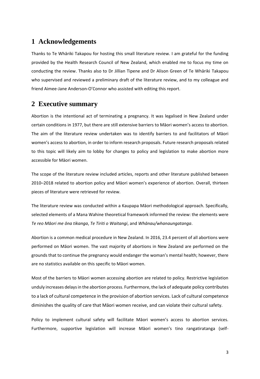# <span id="page-2-0"></span>**1 Acknowledgements**

Thanks to Te Whāriki Takapou for hosting this small literature review. I am grateful for the funding provided by the Health Research Council of New Zealand, which enabled me to focus my time on conducting the review. Thanks also to Dr Jillian Tipene and Dr Alison Green of Te Whāriki Takapou who supervised and reviewed a preliminary draft of the literature review, and to my colleague and friend Aimee-Jane Anderson-O'Connor who assisted with editing this report.

## <span id="page-2-1"></span>**2 Executive summary**

Abortion is the intentional act of terminating a pregnancy. It was legalised in New Zealand under certain conditions in 1977, but there are still extensive barriers to Māori women's access to abortion. The aim of the literature review undertaken was to identify barriers to and facilitators of Māori women's access to abortion, in order to inform research proposals. Future research proposals related to this topic will likely aim to lobby for changes to policy and legislation to make abortion more accessible for Māori women.

The scope of the literature review included articles, reports and other literature published between 2010–2018 related to abortion policy and Māori women's experience of abortion. Overall, thirteen pieces of literature were retrieved for review.

The literature review was conducted within a Kaupapa Māori methodological approach. Specifically, selected elements of a Mana Wahine theoretical framework informed the review: the elements were *Te reo Māori me ōna tikanga*, *Te Tiriti o Waitangi*, and *Whānau/whanaungatanga*.

Abortion is a common medical procedure in New Zealand. In 2016, 23.4 percent of all abortions were performed on Māori women. The vast majority of abortions in New Zealand are performed on the grounds that to continue the pregnancy would endanger the woman's mental health; however, there are no statistics available on this specific to Māori women.

Most of the barriers to Māori women accessing abortion are related to policy. Restrictive legislation unduly increases delays in the abortion process. Furthermore, the lack of adequate policy contributes to a lack of cultural competence in the provision of abortion services. Lack of cultural competence diminishes the quality of care that Māori women receive, and can violate their cultural safety.

Policy to implement cultural safety will facilitate Māori women's access to abortion services. Furthermore, supportive legislation will increase Māori women's tino rangatiratanga (self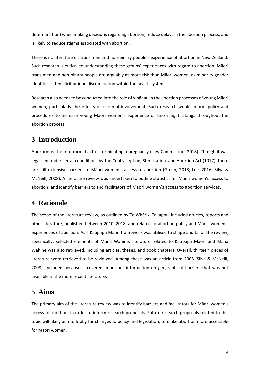determination) when making decisions regarding abortion, reduce delays in the abortion process, and is likely to reduce stigma associated with abortion.

There is no literature on trans men and non-binary people's experience of abortion in New Zealand. Such research is critical to understanding these groups' experiences with regard to abortion. Māori trans men and non-binary people are arguably at more risk than Māori women, as minority gender identities often elicit unique discrimination within the health system.

Research also needs to be conducted into the role of whānau in the abortion processes of young Māori women, particularly the effects of parental involvement. Such research would inform policy and procedures to increase young Māori women's experience of tino rangatiratanga throughout the abortion process.

## <span id="page-3-0"></span>**3 Introduction**

Abortion is the intentional act of terminating a pregnancy (Law Commission, 2018). Though it was legalised under certain conditions by the Contraception, Sterilisation, and Abortion Act (1977), there are still extensive barriers to Māori women's access to abortion (Green, 2018; Lee, 2016; Silva & McNeill, 2008). A literature review was undertaken to outline statistics for Māori women's access to abortion; and identify barriers to and facilitators of Māori women's access to abortion services.

# <span id="page-3-1"></span>**4 Rationale**

The scope of the literature review, as outlined by Te Whāriki Takapou, included articles, reports and other literature, published between 2010–2018, and related to abortion policy and Māori women's experiences of abortion. As a Kaupapa Māori framework was utilised to shape and tailor the review, specifically, selected elements of Mana Wahine, literature related to Kaupapa Māori and Mana Wahine was also retrieved, including articles, theses, and book chapters. Overall, thirteen pieces of literature were retrieved to be reviewed. Among these was an article from 2008 (Silva & McNeill, 2008), included because it covered important information on geographical barriers that was not available in the more recent literature.

# <span id="page-3-2"></span>**5 Aims**

The primary aim of the literature review was to identify barriers and facilitators for Māori women's access to abortion, in order to inform research proposals. Future research proposals related to this topic will likely aim to lobby for changes to policy and legislation, to make abortion more accessible for Māori women.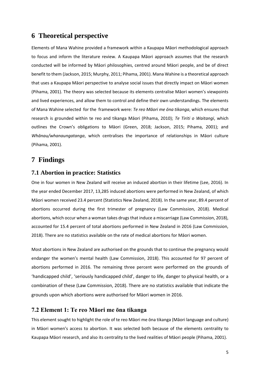# <span id="page-4-0"></span>**6 Theoretical perspective**

Elements of Mana Wahine provided a framework within a Kaupapa Māori methodological approach to focus and inform the literature review. A Kaupapa Māori approach assumes that the research conducted will be informed by Māori philosophies, centred around Māori people, and be of direct benefit to them (Jackson, 2015; Murphy, 2011; Pihama, 2001). Mana Wahine is a theoretical approach that uses a Kaupapa Māori perspective to analyse social issues that directly impact on Māori women (Pihama, 2001). The theory was selected because its elements centralise Māori women's viewpoints and lived experiences, and allow them to control and define their own understandings. The elements of Mana Wahine selected for the framework were: *Te reo Māori me ōna tikanga*, which ensures that research is grounded within te reo and tikanga Māori (Pihama, 2010); *Te Tiriti o Waitangi*, which outlines the Crown's obligations to Māori (Green, 2018; Jackson, 2015; Pihama, 2001); and *Whānau/whanaungatanga*, which centralises the importance of relationships in Māori culture (Pihama, 2001).

# <span id="page-4-1"></span>**7 Findings**

## <span id="page-4-2"></span>**7.1 Abortion in practice: Statistics**

One in four women in New Zealand will receive an induced abortion in their lifetime (Lee, 2016). In the year ended December 2017, 13,285 induced abortions were performed in New Zealand, of which Māori women received 23.4 percent (Statistics New Zealand, 2018). In the same year, 89.4 percent of abortions occurred during the first trimester of pregnancy (Law Commission, 2018). Medical abortions, which occur when a woman takes drugs that induce a miscarriage (Law Commission, 2018), accounted for 15.4 percent of total abortions performed in New Zealand in 2016 (Law Commission, 2018). There are no statistics available on the rate of medical abortions for Māori women.

Most abortions in New Zealand are authorised on the grounds that to continue the pregnancy would endanger the women's mental health (Law Commission, 2018). This accounted for 97 percent of abortions performed in 2016. The remaining three percent were performed on the grounds of 'handicapped child', 'seriously handicapped child', danger to life, danger to physical health, or a combination of these (Law Commission, 2018). There are no statistics available that indicate the grounds upon which abortions were authorised for Māori women in 2016.

## <span id="page-4-3"></span>**7.2 Element 1: Te reo Māori me ōna tikanga**

This element sought to highlight the role of te reo Māori me ōna tikanga (Māori language and culture) in Māori women's access to abortion. It was selected both because of the elements centrality to Kaupapa Māori research, and also its centrality to the lived realities of Māori people (Pihama, 2001).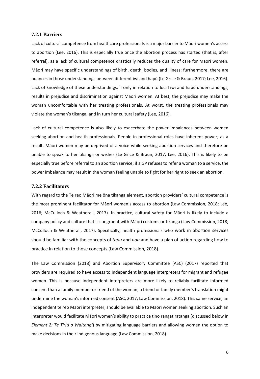#### <span id="page-5-0"></span>**7.2.1 Barriers**

Lack of cultural competence from healthcare professionals is a major barrier to Māori women's access to abortion (Lee, 2016). This is especially true once the abortion process has started (that is, after referral), as a lack of cultural competence drastically reduces the quality of care for Māori women. Māori may have specific understandings of birth, death, bodies, and illness; furthermore, there are nuances in those understandings between different iwi and hapū (Le Grice & Braun, 2017; Lee, 2016). Lack of knowledge of these understandings, if only in relation to local iwi and hapū understandings, results in prejudice and discrimination against Māori women. At best, the prejudice may make the woman uncomfortable with her treating professionals. At worst, the treating professionals may violate the woman's tikanga, and in turn her cultural safety (Lee, 2016).

Lack of cultural competence is also likely to exacerbate the power imbalances between women seeking abortion and health professionals. People in professional roles have inherent power; as a result, Māori women may be deprived of a voice while seeking abortion services and therefore be unable to speak to her tikanga or wishes (Le Grice & Braun, 2017; Lee, 2016). This is likely to be especially true before referral to an abortion service; if a GP refuses to refer a woman to a service, the power imbalance may result in the woman feeling unable to fight for her right to seek an abortion.

#### <span id="page-5-1"></span>**7.2.2 Facilitators**

With regard to the Te reo Māori me ōna tikanga element, abortion providers' cultural competence is the most prominent facilitator for Māori women's access to abortion (Law Commission, 2018; Lee, 2016; McCulloch & Weatherall, 2017). In practice, cultural safety for Māori is likely to include a company policy and culture that is congruent with Māori customs or tikanga (Law Commission, 2018; McCulloch & Weatherall, 2017). Specifically, health professionals who work in abortion services should be familiar with the concepts of *tapu* and *noa* and have a plan of action regarding how to practice in relation to those concepts (Law Commission, 2018).

The Law Commission (2018) and Abortion Supervisory Committee (ASC) (2017) reported that providers are required to have access to independent language interpreters for migrant and refugee women. This is because independent interpreters are more likely to reliably facilitate informed consent than a family member or friend of the woman; a friend or family member's translation might undermine the woman's informed consent (ASC, 2017; Law Commission, 2018). This same service, an independent te reo Māori interpreter, should be available to Māori women seeking abortion. Such an interpreter would facilitate Māori women's ability to practice tino rangatiratanga (discussed below in *Element 2: Te Tiriti o Waitangi*) by mitigating language barriers and allowing women the option to make decisions in their indigenous language (Law Commission, 2018).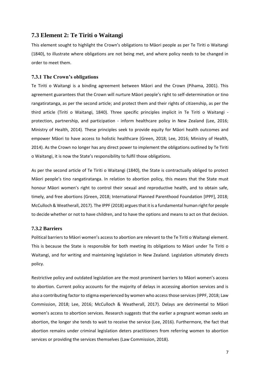## <span id="page-6-0"></span>**7.3 Element 2: Te Tiriti o Waitangi**

This element sought to highlight the Crown's obligations to Māori people as per Te Tiriti o Waitangi (1840), to illustrate where obligations are not being met, and where policy needs to be changed in order to meet them.

### <span id="page-6-1"></span>**7.3.1 The Crown's obligations**

Te Tiriti o Waitangi is a binding agreement between Māori and the Crown (Pihama, 2001). This agreement guarantees that the Crown will nurture Māori people's right to self-determination or tino rangatiratanga, as per the second article; and protect them and their rights of citizenship, as per the third article (Tiriti o Waitangi, 1840). Three specific principles implicit in Te Tiriti o Waitangi protection, partnership, and participation - inform healthcare policy in New Zealand (Lee, 2016; Ministry of Health, 2014). These principles seek to provide equity for Māori health outcomes and empower Māori to have access to holistic healthcare (Green, 2018; Lee, 2016; Ministry of Health, 2014). As the Crown no longer has any direct power to implement the obligations outlined by Te Tiriti o Waitangi, it is now the State's responsibility to fulfil those obligations.

As per the second article of Te Tiriti o Waitangi (1840), the State is contractually obliged to protect Māori people's tino rangatiratanga. In relation to abortion policy, this means that the State must honour Māori women's right to control their sexual and reproductive health, and to obtain safe, timely, and free abortions (Green, 2018; International Planned Parenthood Foundation [IPPF], 2018; McCulloch & Weatherall, 2017). The IPPF (2018) argues that it is a fundamental human right for people to decide whether or not to have children, and to have the options and means to act on that decision.

#### <span id="page-6-2"></span>**7.3.2 Barriers**

Political barriers to Māori women's access to abortion are relevant to the Te Tiriti o Waitangi element. This is because the State is responsible for both meeting its obligations to Māori under Te Tiriti o Waitangi, and for writing and maintaining legislation in New Zealand. Legislation ultimately directs policy.

Restrictive policy and outdated legislation are the most prominent barriers to Māori women's access to abortion. Current policy accounts for the majority of delays in accessing abortion services and is also a contributing factor to stigma experienced by women who access those services (IPPF, 2018; Law Commission, 2018; Lee, 2016; McCulloch & Weatherall, 2017). Delays are detrimental to Māori women's access to abortion services. Research suggests that the earlier a pregnant woman seeks an abortion, the longer she tends to wait to receive the service (Lee, 2016). Furthermore, the fact that abortion remains under criminal legislation deters practitioners from referring women to abortion services or providing the services themselves (Law Commission, 2018).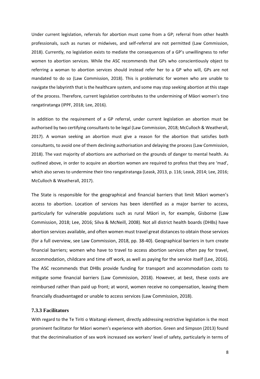Under current legislation, referrals for abortion must come from a GP; referral from other health professionals, such as nurses or midwives, and self-referral are not permitted (Law Commission, 2018). Currently, no legislation exists to mediate the consequences of a GP's unwillingness to refer women to abortion services. While the ASC recommends that GPs who conscientiously object to referring a woman to abortion services should instead refer her to a GP who will, GPs are not mandated to do so (Law Commission, 2018). This is problematic for women who are unable to navigate the labyrinth that is the healthcare system, and some may stop seeking abortion at this stage of the process. Therefore, current legislation contributes to the undermining of Māori women's tino rangatiratanga (IPPF, 2018; Lee, 2016).

In addition to the requirement of a GP referral, under current legislation an abortion must be authorised by two certifying consultants to be legal (Law Commission, 2018; McCulloch & Weatherall, 2017). A woman seeking an abortion must give a reason for the abortion that satisfies both consultants, to avoid one of them declining authorisation and delaying the process (Law Commission, 2018). The vast majority of abortions are authorised on the grounds of danger to mental health. As outlined above, in order to acquire an abortion women are required to profess that they are 'mad', which also serves to undermine their tino rangatiratanga (Leask, 2013, p. 116; Leask, 2014; Lee, 2016; McCulloch & Weatherall, 2017).

The State is responsible for the geographical and financial barriers that limit Māori women's access to abortion. Location of services has been identified as a major barrier to access, particularly for vulnerable populations such as rural Māori in, for example, Gisborne (Law Commission, 2018; Lee, 2016; Silva & McNeill, 2008). Not all district health boards (DHBs) have abortion services available, and often women must travel great distances to obtain those services (for a full overview, see Law Commission, 2018, pp. 38-40). Geographical barriers in turn create financial barriers; women who have to travel to access abortion services often pay for travel, accommodation, childcare and time off work, as well as paying for the service itself (Lee, 2016). The ASC recommends that DHBs provide funding for transport and accommodation costs to mitigate some financial barriers (Law Commission, 2018). However, at best, these costs are reimbursed rather than paid up front; at worst, women receive no compensation, leaving them financially disadvantaged or unable to access services (Law Commission, 2018).

#### <span id="page-7-0"></span>**7.3.3 Facilitators**

With regard to the Te Tiriti o Waitangi element, directly addressing restrictive legislation is the most prominent facilitator for Māori women's experience with abortion. Green and Simpson (2013) found that the decriminalisation of sex work increased sex workers' level of safety, particularly in terms of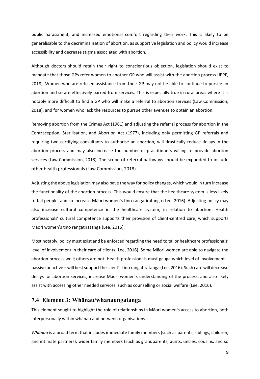public harassment, and increased emotional comfort regarding their work. This is likely to be generalisable to the decriminalisation of abortion, as supportive legislation and policy would increase accessibility and decrease stigma associated with abortion.

Although doctors should retain their right to conscientious objection, legislation should exist to mandate that those GPs refer women to another GP who will assist with the abortion process (IPPF, 2018). Women who are refused assistance from their GP may not be able to continue to pursue an abortion and so are effectively barred from services. This is especially true in rural areas where it is notably more difficult to find a GP who will make a referral to abortion services (Law Commission, 2018), and for women who lack the resources to pursue other avenues to obtain an abortion.

Removing abortion from the Crimes Act (1961) and adjusting the referral process for abortion in the Contraception, Sterilisation, and Abortion Act (1977), including only permitting GP referrals and requiring two certifying consultants to authorise an abortion, will drastically reduce delays in the abortion process and may also increase the number of practitioners willing to provide abortion services (Law Commission, 2018). The scope of referral pathways should be expanded to include other health professionals (Law Commission, 2018).

Adjusting the above legislation may also pave the way for policy changes, which would in turn increase the functionality of the abortion process. This would ensure that the healthcare system is less likely to fail people, and so increase Māori women's tino rangatiratanga (Lee, 2016). Adjusting policy may also increase cultural competence in the healthcare system, in relation to abortion. Health professionals' cultural competence supports their provision of client-centred care, which supports Māori women's tino rangatiratanga (Lee, 2016).

Most notably, policy must exist and be enforced regarding the need to tailor healthcare professionals' level of involvement in their care of clients (Lee, 2016). Some Māori women are able to navigate the abortion process well; others are not. Health professionals must gauge which level of involvement – passive or active – will best support the client's tino rangatiratanga (Lee, 2016). Such care will decrease delays for abortion services, increase Māori women's understanding of the process, and also likely assist with accessing other needed services, such as counselling or social welfare (Lee, 2016).

## <span id="page-8-0"></span>**7.4 Element 3: Whānau/whanaungatanga**

This element sought to highlight the role of relationships in Māori women's access to abortion, both interpersonally within whānau and between organisations.

*Whānau* is a broad term that includes immediate family members (such as parents, siblings, children, and intimate partners), wider family members (such as grandparents, aunts, uncles, cousins, and so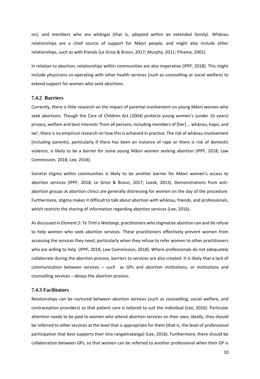on), and members who are whāngai (that is, adopted within an extended family). Whānau relationships are a chief source of support for Māori people, and might also include other relationships, such as with friends (Le Grice & Braun, 2017; Murphy, 2011; Pihama, 2001).

In relation to abortion, relationships within communities are also imperative (IPPF, 2018). This might include physicians co-operating with other health services (such as counselling or social welfare) to extend support for women who seek abortions.

#### <span id="page-9-0"></span>**7.4.2 Barriers**

Currently, there is little research on the impact of parental involvement on young Māori women who seek abortions. Though the Care of Children Act (2004) protects young women's (under 16 years) privacy, welfare and best interests 'from all persons, including members of [her] … whānau, hapū, and iwi', there is no empirical research on how this is achieved in practice. The risk of whānau involvement (including parents), particularly if there has been an instance of rape or there is risk of domestic violence, is likely to be a barrier for some young Māori women seeking abortion (IPPF, 2018; Law Commission, 2018; Lee, 2016).

Societal stigma within communities is likely to be another barrier for Māori women's access to abortion services (IPPF, 2018; Le Grice & Braun, 2017; Leask, 2013). Demonstrations from antiabortion groups at abortion clinics are generally distressing for women on the day of the procedure. Furthermore, stigma makes it difficult to talk about abortion with whānau, friends, and professionals, which restricts the sharing of information regarding abortion services (Lee, 2016).

As discussed in *Element 2: Te Tiriti o Waitangi*, practitioners who stigmatise abortion can and do refuse to help women who seek abortion services. These practitioners effectively prevent women from accessing the services they need, particularly when they refuse to refer women to other practitioners who are willing to help (IPPF, 2018; Law Commission, 2018). Where professionals do not adequately collaborate during the abortion process, barriers to services are also created. It is likely that a lack of communication between services – such as GPs and abortion institutions, or institutions and counselling services – delays the abortion process.

#### <span id="page-9-1"></span>**7.4.3 Facilitators**

Relationships can be nurtured between abortion services (such as counselling, social welfare, and contraception providers) so that patient care is tailored to suit the individual (Lee, 2016). Particular attention needs to be paid to women who attend abortion services on their own; ideally, they should be referred to other services at the level that is appropriate for them (that is, the level of professional participation that best supports their tino rangatiratanga) (Lee, 2016). Furthermore, there should be collaboration between GPs, so that women can be referred to another professional when their GP is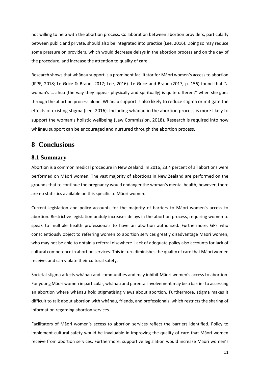not willing to help with the abortion process. Collaboration between abortion providers, particularly between public and private, should also be integrated into practice (Lee, 2016). Doing so may reduce some pressure on providers, which would decrease delays in the abortion process and on the day of the procedure, and increase the attention to quality of care.

Research shows that whānau support is a prominent facilitator for Māori women's access to abortion (IPPF, 2018; Le Grice & Braun, 2017; Lee, 2016). Le Grice and Braun (2017, p. 156) found that "a woman's ... ahua [the way they appear physically and spiritually] is quite different" when she goes through the abortion process alone. Whānau support is also likely to reduce stigma or mitigate the effects of existing stigma (Lee, 2016). Including whānau in the abortion process is more likely to support the woman's holistic wellbeing (Law Commission, 2018). Research is required into how whānau support can be encouraged and nurtured through the abortion process.

# <span id="page-10-0"></span>**8 Conclusions**

## <span id="page-10-1"></span>**8.1 Summary**

Abortion is a common medical procedure in New Zealand. In 2016, 23.4 percent of all abortions were performed on Māori women. The vast majority of abortions in New Zealand are performed on the grounds that to continue the pregnancy would endanger the woman's mental health; however, there are no statistics available on this specific to Māori women.

Current legislation and policy accounts for the majority of barriers to Māori women's access to abortion. Restrictive legislation unduly increases delays in the abortion process, requiring women to speak to multiple health professionals to have an abortion authorised. Furthermore, GPs who conscientiously object to referring women to abortion services greatly disadvantage Māori women, who may not be able to obtain a referral elsewhere. Lack of adequate policy also accounts for lack of cultural competence in abortion services. This in turn diminishes the quality of care that Māori women receive, and can violate their cultural safety.

Societal stigma affects whānau and communities and may inhibit Māori women's access to abortion. For young Māori women in particular, whānau and parental involvement may be a barrier to accessing an abortion where whānau hold stigmatising views about abortion. Furthermore, stigma makes it difficult to talk about abortion with whānau, friends, and professionals, which restricts the sharing of information regarding abortion services.

Facilitators of Māori women's access to abortion services reflect the barriers identified. Policy to implement cultural safety would be invaluable in improving the quality of care that Māori women receive from abortion services. Furthermore, supportive legislation would increase Māori women's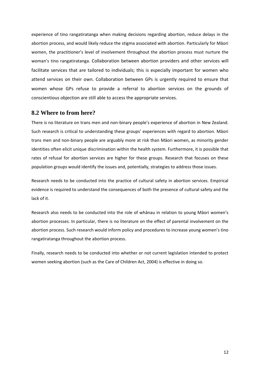experience of tino rangatiratanga when making decisions regarding abortion, reduce delays in the abortion process, and would likely reduce the stigma associated with abortion. Particularly for Māori women, the practitioner's level of involvement throughout the abortion process must nurture the woman's tino rangatiratanga. Collaboration between abortion providers and other services will facilitate services that are tailored to individuals; this is especially important for women who attend services on their own. Collaboration between GPs is urgently required to ensure that women whose GPs refuse to provide a referral to abortion services on the grounds of conscientious objection are still able to access the appropriate services.

## <span id="page-11-0"></span>**8.2 Where to from here?**

There is no literature on trans men and non-binary people's experience of abortion in New Zealand. Such research is critical to understanding these groups' experiences with regard to abortion. Māori trans men and non-binary people are arguably more at risk than Māori women, as minority gender identities often elicit unique discrimination within the health system. Furthermore, it is possible that rates of refusal for abortion services are higher for these groups. Research that focuses on these population groups would identify the issues and, potentially, strategies to address those issues.

Research needs to be conducted into the practice of cultural safety in abortion services. Empirical evidence is required to understand the consequences of both the presence of cultural safety and the lack of it.

Research also needs to be conducted into the role of whānau in relation to young Māori women's abortion processes. In particular, there is no literature on the effect of parental involvement on the abortion process. Such research would inform policy and procedures to increase young women's tino rangatiratanga throughout the abortion process.

Finally, research needs to be conducted into whether or not current legislation intended to protect women seeking abortion (such as the Care of Children Act, 2004) is effective in doing so.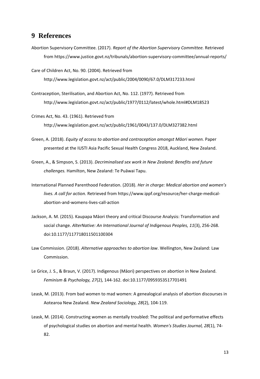## <span id="page-12-0"></span>**9 References**

Abortion Supervisory Committee. (2017). *Report of the Abortion Supervisory Committee.* Retrieved fro[m https://www.justice.govt.nz/tribunals/abortion-supervisory-committee/annual-reports/](https://www.justice.govt.nz/tribunals/abortion-supervisory-committee/annual-reports/)

Care of Children Act, No. 90. (2004). Retrieved from <http://www.legislation.govt.nz/act/public/2004/0090/67.0/DLM317233.html>

Contraception, Sterilisation, and Abortion Act, No. 112. (1977). Retrieved from <http://www.legislation.govt.nz/act/public/1977/0112/latest/whole.html#DLM18523>

Crimes Act, No. 43. (1961). Retrieved from <http://www.legislation.govt.nz/act/public/1961/0043/137.0/DLM327382.html>

- Green, A. (2018). *Equity of access to abortion and contraception amongst Māori women.* Paper presented at the IUSTI Asia Pacific Sexual Health Congress 2018, Auckland, New Zealand.
- Green, A., & Simpson, S. (2013). *Decriminalised sex work in New Zealand: Benefits and future challenges.* Hamilton, New Zealand: Te Puāwai Tapu.
- International Planned Parenthood Federation. (2018). *Her in charge: Medical abortion and women's lives. A call for action.* Retrieved from [https://www.ippf.org/resource/her-charge-medical](https://www.ippf.org/resource/her-charge-medical-abortion-and-womens-lives-call-action)[abortion-and-womens-lives-call-action](https://www.ippf.org/resource/her-charge-medical-abortion-and-womens-lives-call-action)
- Jackson, A. M. (2015). Kaupapa Māori theory and critical Discourse Analysis: Transformation and social change. *AlterNative: An International Journal of Indigenous Peoples, 11*(3), 256-268. doi:10.1177/117718011501100304
- Law Commission. (2018). *Alternative approaches to abortion law*. Wellington, New Zealand: Law Commission.
- Le Grice, J. S., & Braun, V. (2017). Indigenous (Māori) perspectives on abortion in New Zealand. *Feminism & Psychology, 27*(2), 144-162. doi:10.1177/0959353517701491
- Leask, M. (2013). From bad women to mad women: A genealogical analysis of abortion discourses in Aotearoa New Zealand*. New Zealand Sociology, 28*(2), 104-119.
- Leask, M. (2014). Constructing women as mentally troubled: The political and performative effects of psychological studies on abortion and mental health. *Women's Studies Journal, 28*(1), 74- 82.